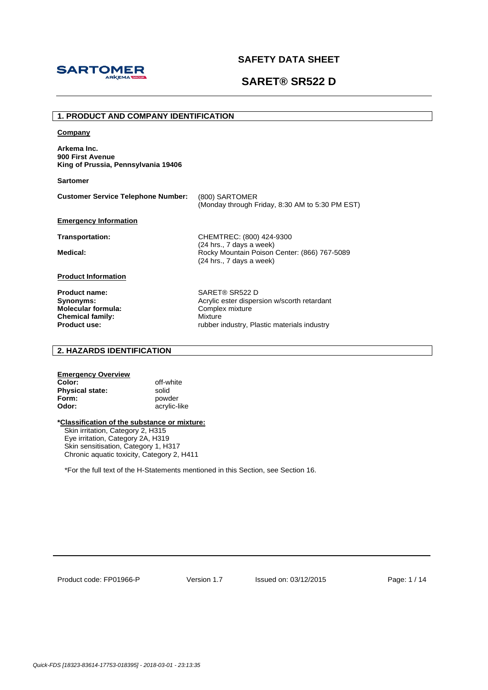



## **1. PRODUCT AND COMPANY IDENTIFICATION**

#### **Company**

**Arkema Inc. 900 First Avenue King of Prussia, Pennsylvania 19406** 

**Sartomer**

| <b>Customer Service Telephone Number:</b> | (800) SARTOMER                                  |
|-------------------------------------------|-------------------------------------------------|
|                                           | (Monday through Friday, 8:30 AM to 5:30 PM EST) |

(24 hrs., 7 days a week)

(24 hrs., 7 days a week)

**Emergency Information**

**Transportation:** CHEMTREC: (800) 424-9300

**Medical: Medical: Rocky Mountain Poison Center: (866) 767-5089** 

**Product Information**

**Molecular formula:** Complex mixture **Chemical family:** Mixture

**Product name:** SARET® SR522 D<br> **Synonyms:** Acrylic ester disper Acrylic ester dispersion w/scorth retardant **Product use:** The state of the state of the rubber industry, Plastic materials industry

## **2. HAZARDS IDENTIFICATION**

| <b>Emergency Overview</b> |              |
|---------------------------|--------------|
| Color:                    | off-white    |
| <b>Physical state:</b>    | solid        |
| Form:                     | powder       |
| Odor:                     | acrylic-like |

### **\*Classification of the substance or mixture:**

Skin irritation, Category 2, H315 Eye irritation, Category 2A, H319 Skin sensitisation, Category 1, H317 Chronic aquatic toxicity, Category 2, H411

\*For the full text of the H-Statements mentioned in this Section, see Section 16.

Product code: FP01966-P

Version 1.7 Issued on: 03/12/2015 Page: 1 / 14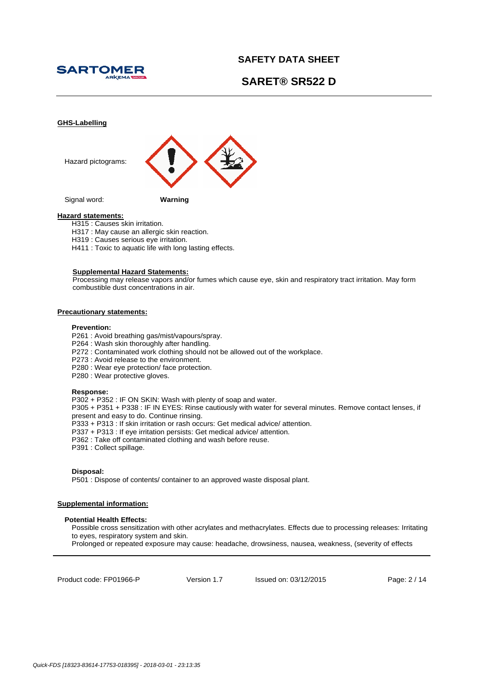





## **Hazard statements:**

- H315 : Causes skin irritation.
- H317 : May cause an allergic skin reaction.
- H319 : Causes serious eye irritation.
- H411 : Toxic to aquatic life with long lasting effects.

#### **Supplemental Hazard Statements:**

Processing may release vapors and/or fumes which cause eye, skin and respiratory tract irritation. May form combustible dust concentrations in air.

### **Precautionary statements:**

#### **Prevention:**

- P261 : Avoid breathing gas/mist/vapours/spray.
- P264 : Wash skin thoroughly after handling.
- P272 : Contaminated work clothing should not be allowed out of the workplace.
- P273 : Avoid release to the environment.
- P280 : Wear eye protection/ face protection.
- P280 : Wear protective gloves.

#### **Response:**

P302 + P352 : IF ON SKIN: Wash with plenty of soap and water. P305 + P351 + P338 : IF IN EYES: Rinse cautiously with water for several minutes. Remove contact lenses, if present and easy to do. Continue rinsing. P333 + P313 : If skin irritation or rash occurs: Get medical advice/ attention. P337 + P313 : If eye irritation persists: Get medical advice/ attention. P362 : Take off contaminated clothing and wash before reuse. P391 : Collect spillage.

## **Disposal:**

P501 : Dispose of contents/ container to an approved waste disposal plant.

## **Supplemental information:**

### **Potential Health Effects:**

Possible cross sensitization with other acrylates and methacrylates. Effects due to processing releases: Irritating to eyes, respiratory system and skin.

Prolonged or repeated exposure may cause: headache, drowsiness, nausea, weakness, (severity of effects

Product code: FP01966-P

Version 1.7 Issued on: 03/12/2015 Page: 2 / 14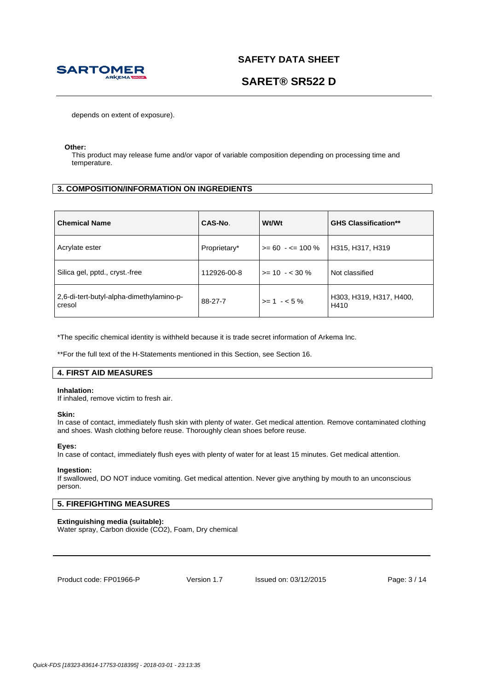

# **SARET® SR522 D**

depends on extent of exposure).

### **Other:**

This product may release fume and/or vapor of variable composition depending on processing time and temperature.

## **3. COMPOSITION/INFORMATION ON INGREDIENTS**

| <b>Chemical Name</b>                               | CAS-No.      | <b>Wt/Wt</b>         | <b>GHS Classification**</b>     |
|----------------------------------------------------|--------------|----------------------|---------------------------------|
| Acrylate ester                                     | Proprietary* | $>= 60 - 5 = 100 \%$ | H315, H317, H319                |
| Silica gel, pptd., cryst.-free                     | 112926-00-8  | $>= 10 - 530 \%$     | Not classified                  |
| 2,6-di-tert-butyl-alpha-dimethylamino-p-<br>cresol | 88-27-7      | $>= 1 - 5\%$         | H303, H319, H317, H400,<br>H410 |

\*The specific chemical identity is withheld because it is trade secret information of Arkema Inc.

\*\*For the full text of the H-Statements mentioned in this Section, see Section 16.

## **4. FIRST AID MEASURES**

### **Inhalation:**

If inhaled, remove victim to fresh air.

### **Skin:**

In case of contact, immediately flush skin with plenty of water. Get medical attention. Remove contaminated clothing and shoes. Wash clothing before reuse. Thoroughly clean shoes before reuse.

### **Eyes:**

In case of contact, immediately flush eyes with plenty of water for at least 15 minutes. Get medical attention.

## **Ingestion:**

If swallowed, DO NOT induce vomiting. Get medical attention. Never give anything by mouth to an unconscious person.

## **5. FIREFIGHTING MEASURES**

## **Extinguishing media (suitable):**

Water spray, Carbon dioxide (CO2), Foam, Dry chemical

Product code: FP01966-P

Version 1.7 Issued on: 03/12/2015 Page: 3 / 14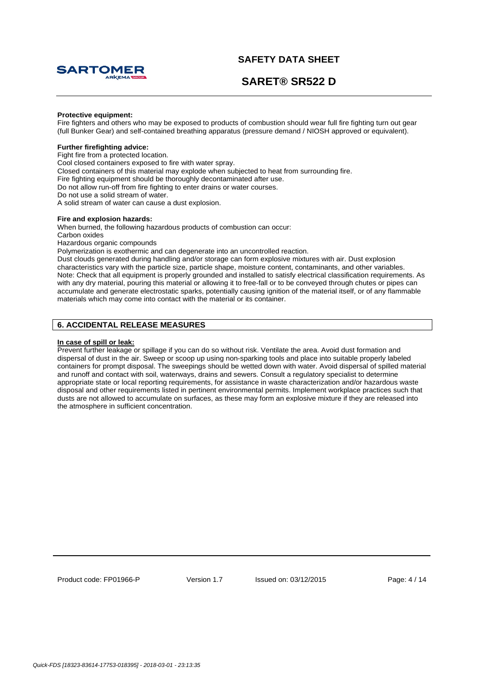

# **SARET® SR522 D**

### **Protective equipment:**

Fire fighters and others who may be exposed to products of combustion should wear full fire fighting turn out gear (full Bunker Gear) and self-contained breathing apparatus (pressure demand / NIOSH approved or equivalent).

## **Further firefighting advice:**

Fight fire from a protected location.

Cool closed containers exposed to fire with water spray.

Closed containers of this material may explode when subjected to heat from surrounding fire.

Fire fighting equipment should be thoroughly decontaminated after use.

Do not allow run-off from fire fighting to enter drains or water courses.

Do not use a solid stream of water.

A solid stream of water can cause a dust explosion.

## **Fire and explosion hazards:**

When burned, the following hazardous products of combustion can occur:

Carbon oxides

Hazardous organic compounds

Polymerization is exothermic and can degenerate into an uncontrolled reaction.

Dust clouds generated during handling and/or storage can form explosive mixtures with air. Dust explosion characteristics vary with the particle size, particle shape, moisture content, contaminants, and other variables. Note: Check that all equipment is properly grounded and installed to satisfy electrical classification requirements. As with any dry material, pouring this material or allowing it to free-fall or to be conveyed through chutes or pipes can accumulate and generate electrostatic sparks, potentially causing ignition of the material itself, or of any flammable materials which may come into contact with the material or its container.

## **6. ACCIDENTAL RELEASE MEASURES**

#### **In case of spill or leak:**

Prevent further leakage or spillage if you can do so without risk. Ventilate the area. Avoid dust formation and dispersal of dust in the air. Sweep or scoop up using non-sparking tools and place into suitable properly labeled containers for prompt disposal. The sweepings should be wetted down with water. Avoid dispersal of spilled material and runoff and contact with soil, waterways, drains and sewers. Consult a regulatory specialist to determine appropriate state or local reporting requirements, for assistance in waste characterization and/or hazardous waste disposal and other requirements listed in pertinent environmental permits. Implement workplace practices such that dusts are not allowed to accumulate on surfaces, as these may form an explosive mixture if they are released into the atmosphere in sufficient concentration.

Product code: FP01966-P

Version 1.7 Issued on: 03/12/2015 Page: 4 / 14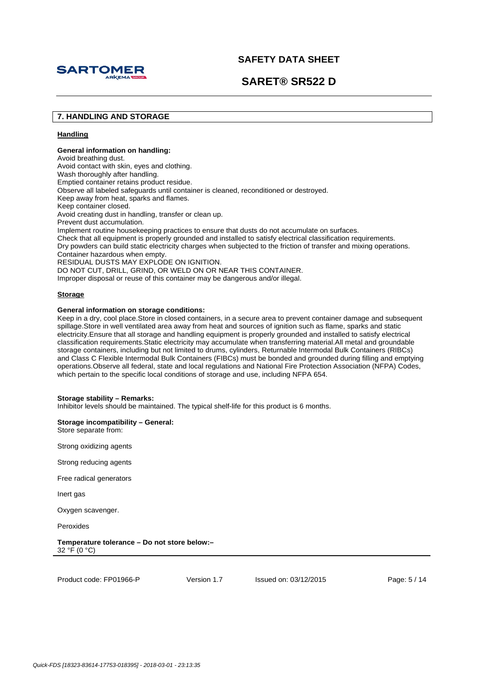

**SARET® SR522 D**

## **7. HANDLING AND STORAGE**

## **Handling**

## **General information on handling:**

Avoid breathing dust. Avoid contact with skin, eyes and clothing. Wash thoroughly after handling. Emptied container retains product residue. Observe all labeled safeguards until container is cleaned, reconditioned or destroyed. Keep away from heat, sparks and flames. Keep container closed. Avoid creating dust in handling, transfer or clean up. Prevent dust accumulation. Implement routine housekeeping practices to ensure that dusts do not accumulate on surfaces. Check that all equipment is properly grounded and installed to satisfy electrical classification requirements. Dry powders can build static electricity charges when subjected to the friction of transfer and mixing operations. Container hazardous when empty. RESIDUAL DUSTS MAY EXPLODE ON IGNITION. DO NOT CUT, DRILL, GRIND, OR WELD ON OR NEAR THIS CONTAINER. Improper disposal or reuse of this container may be dangerous and/or illegal.

## **Storage**

## **General information on storage conditions:**

Keep in a dry, cool place.Store in closed containers, in a secure area to prevent container damage and subsequent spillage.Store in well ventilated area away from heat and sources of ignition such as flame, sparks and static electricity.Ensure that all storage and handling equipment is properly grounded and installed to satisfy electrical classification requirements.Static electricity may accumulate when transferring material.All metal and groundable storage containers, including but not limited to drums, cylinders, Returnable Intermodal Bulk Containers (RIBCs) and Class C Flexible Intermodal Bulk Containers (FIBCs) must be bonded and grounded during filling and emptying operations.Observe all federal, state and local regulations and National Fire Protection Association (NFPA) Codes, which pertain to the specific local conditions of storage and use, including NFPA 654.

### **Storage stability – Remarks:**

Inhibitor levels should be maintained. The typical shelf-life for this product is 6 months.

**Storage incompatibility – General:**  Store separate from:

Strong oxidizing agents

Strong reducing agents

Free radical generators

Inert gas

Oxygen scavenger.

Peroxides

**Temperature tolerance – Do not store below:–**   $32 °F (0 °C)$ 

Product code: FP01966-P

Version 1.7 Issued on: 03/12/2015 Page: 5 / 14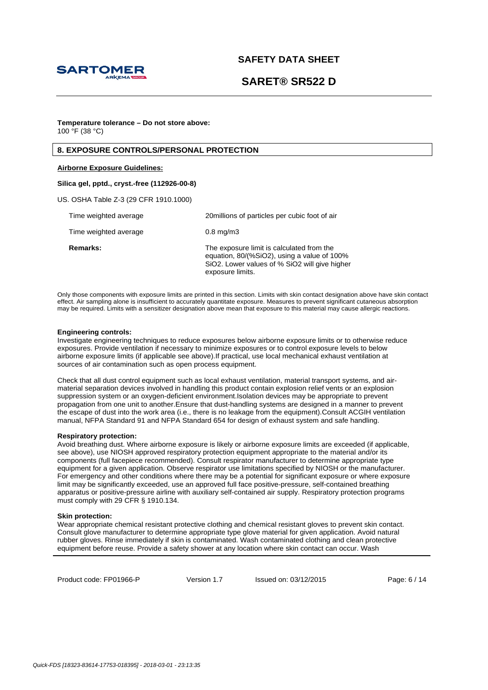

# **SARET® SR522 D**

### **Temperature tolerance – Do not store above:**  $100 \, \text{°F}$  (38 °C)

## **8. EXPOSURE CONTROLS/PERSONAL PROTECTION**

## **Airborne Exposure Guidelines:**

## **Silica gel, pptd., cryst.-free (112926-00-8)**

US. OSHA Table Z-3 (29 CFR 1910.1000)

| Time weighted average | 20 millions of particles per cubic foot of air                                                                                                                |
|-----------------------|---------------------------------------------------------------------------------------------------------------------------------------------------------------|
| Time weighted average | $0.8$ mg/m $3$                                                                                                                                                |
| <b>Remarks:</b>       | The exposure limit is calculated from the<br>equation, 80/(%SiO2), using a value of 100%<br>SiO2. Lower values of % SiO2 will give higher<br>exposure limits. |

Only those components with exposure limits are printed in this section. Limits with skin contact designation above have skin contact effect. Air sampling alone is insufficient to accurately quantitate exposure. Measures to prevent significant cutaneous absorption may be required. Limits with a sensitizer designation above mean that exposure to this material may cause allergic reactions.

#### **Engineering controls:**

Investigate engineering techniques to reduce exposures below airborne exposure limits or to otherwise reduce exposures. Provide ventilation if necessary to minimize exposures or to control exposure levels to below airborne exposure limits (if applicable see above).If practical, use local mechanical exhaust ventilation at sources of air contamination such as open process equipment.

Check that all dust control equipment such as local exhaust ventilation, material transport systems, and airmaterial separation devices involved in handling this product contain explosion relief vents or an explosion suppression system or an oxygen-deficient environment.Isolation devices may be appropriate to prevent propagation from one unit to another.Ensure that dust-handling systems are designed in a manner to prevent the escape of dust into the work area (i.e., there is no leakage from the equipment).Consult ACGIH ventilation manual, NFPA Standard 91 and NFPA Standard 654 for design of exhaust system and safe handling.

### **Respiratory protection:**

Avoid breathing dust. Where airborne exposure is likely or airborne exposure limits are exceeded (if applicable, see above), use NIOSH approved respiratory protection equipment appropriate to the material and/or its components (full facepiece recommended). Consult respirator manufacturer to determine appropriate type equipment for a given application. Observe respirator use limitations specified by NIOSH or the manufacturer. For emergency and other conditions where there may be a potential for significant exposure or where exposure limit may be significantly exceeded, use an approved full face positive-pressure, self-contained breathing apparatus or positive-pressure airline with auxiliary self-contained air supply. Respiratory protection programs must comply with 29 CFR § 1910.134.

#### **Skin protection:**

Wear appropriate chemical resistant protective clothing and chemical resistant gloves to prevent skin contact. Consult glove manufacturer to determine appropriate type glove material for given application. Avoid natural rubber gloves. Rinse immediately if skin is contaminated. Wash contaminated clothing and clean protective equipment before reuse. Provide a safety shower at any location where skin contact can occur. Wash

Product code: FP01966-P

Version 1.7 Issued on: 03/12/2015 Page: 6 / 14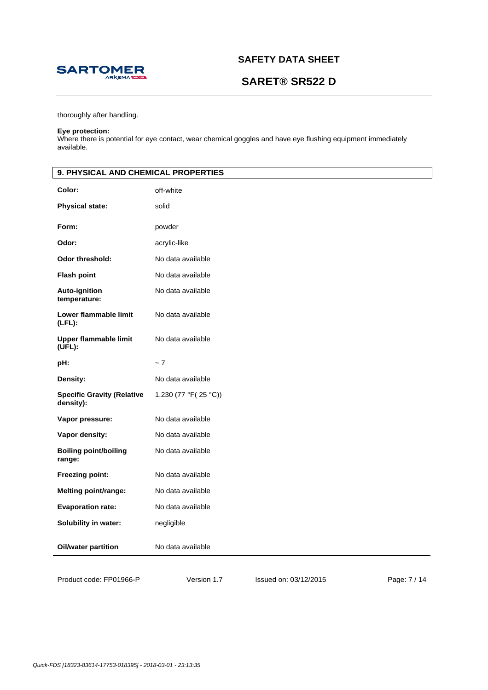

# **SARET® SR522 D**

thoroughly after handling.

#### **Eye protection:**

Where there is potential for eye contact, wear chemical goggles and have eye flushing equipment immediately available.

| 9. PHYSICAL AND CHEMICAL PROPERTIES            |                      |  |
|------------------------------------------------|----------------------|--|
| Color:                                         | off-white            |  |
| <b>Physical state:</b>                         | solid                |  |
| Form:                                          | powder               |  |
| Odor:                                          | acrylic-like         |  |
| <b>Odor threshold:</b>                         | No data available    |  |
| <b>Flash point</b>                             | No data available    |  |
| Auto-ignition<br>temperature:                  | No data available    |  |
| Lower flammable limit<br>$(LFL)$ :             | No data available    |  |
| <b>Upper flammable limit</b><br>(UFL):         | No data available    |  |
| pH:                                            | ~1                   |  |
| Density:                                       | No data available    |  |
| <b>Specific Gravity (Relative</b><br>density): | 1.230 (77 °F(25 °C)) |  |
| Vapor pressure:                                | No data available    |  |
| Vapor density:                                 | No data available    |  |
| <b>Boiling point/boiling</b><br>range:         | No data available    |  |
| Freezing point:                                | No data available    |  |
| <b>Melting point/range:</b>                    | No data available    |  |
| <b>Evaporation rate:</b>                       | No data available    |  |
| Solubility in water:                           | negligible           |  |
| <b>Oil/water partition</b>                     | No data available    |  |

Product code: FP01966-P

Version 1.7 Issued on: 03/12/2015 Page: 7 / 14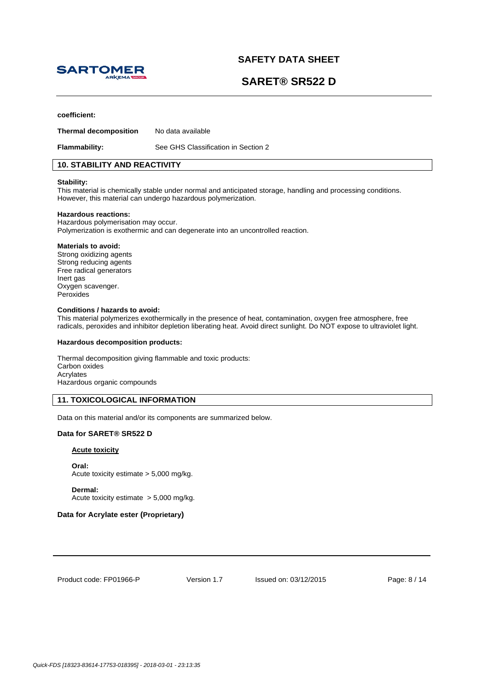

# **SARET® SR522 D**

#### **coefficient:**

**Thermal decomposition** No data available

**Flammability:** See GHS Classification in Section 2

## **10. STABILITY AND REACTIVITY**

#### **Stability:**

This material is chemically stable under normal and anticipated storage, handling and processing conditions. However, this material can undergo hazardous polymerization.

#### **Hazardous reactions:**

Hazardous polymerisation may occur. Polymerization is exothermic and can degenerate into an uncontrolled reaction.

#### **Materials to avoid:**

Strong oxidizing agents Strong reducing agents Free radical generators Inert gas Oxygen scavenger. Peroxides

#### **Conditions / hazards to avoid:**

This material polymerizes exothermically in the presence of heat, contamination, oxygen free atmosphere, free radicals, peroxides and inhibitor depletion liberating heat. Avoid direct sunlight. Do NOT expose to ultraviolet light.

#### **Hazardous decomposition products:**

Thermal decomposition giving flammable and toxic products: Carbon oxides Acrylates Hazardous organic compounds

## **11. TOXICOLOGICAL INFORMATION**

Data on this material and/or its components are summarized below.

## **Data for SARET® SR522 D**

### **Acute toxicity**

**Oral:** Acute toxicity estimate > 5,000 mg/kg.

**Dermal:**  Acute toxicity estimate > 5,000 mg/kg.

## **Data for Acrylate ester (Proprietary)**

Product code: FP01966-P

Version 1.7 Issued on: 03/12/2015 Page: 8 / 14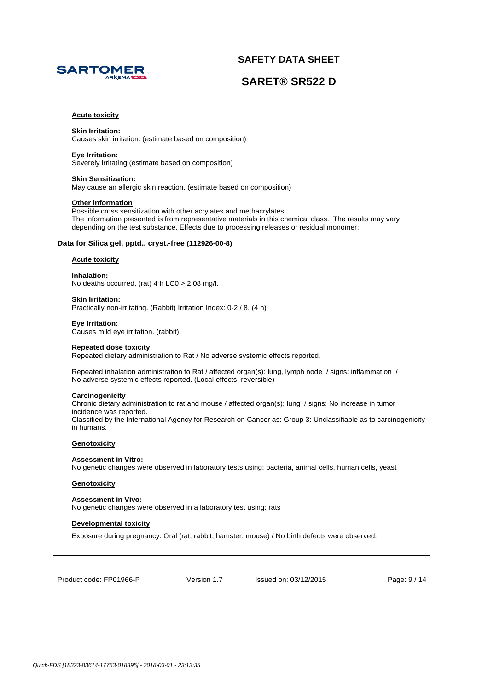



## **Acute toxicity**

## **Skin Irritation:**

Causes skin irritation. (estimate based on composition)

## **Eye Irritation:**

Severely irritating (estimate based on composition)

### **Skin Sensitization:**

May cause an allergic skin reaction. (estimate based on composition)

### **Other information**

Possible cross sensitization with other acrylates and methacrylates The information presented is from representative materials in this chemical class. The results may vary depending on the test substance. Effects due to processing releases or residual monomer:

### **Data for Silica gel, pptd., cryst.-free (112926-00-8)**

#### **Acute toxicity**

**Inhalation:**  No deaths occurred. (rat) 4 h LC0 > 2.08 mg/l.

**Skin Irritation:**  Practically non-irritating. (Rabbit) Irritation Index: 0-2 / 8. (4 h)

**Eye Irritation:**  Causes mild eye irritation. (rabbit)

#### **Repeated dose toxicity**

Repeated dietary administration to Rat / No adverse systemic effects reported.

Repeated inhalation administration to Rat / affected organ(s): lung, lymph node / signs: inflammation / No adverse systemic effects reported. (Local effects, reversible)

## **Carcinogenicity**

Chronic dietary administration to rat and mouse / affected organ(s): lung / signs: No increase in tumor incidence was reported. Classified by the International Agency for Research on Cancer as: Group 3: Unclassifiable as to carcinogenicity in humans.

## **Genotoxicity**

### **Assessment in Vitro:**

No genetic changes were observed in laboratory tests using: bacteria, animal cells, human cells, yeast

## **Genotoxicity**

### **Assessment in Vivo:**

No genetic changes were observed in a laboratory test using: rats

### **Developmental toxicity**

Exposure during pregnancy. Oral (rat, rabbit, hamster, mouse) / No birth defects were observed.

Product code: FP01966-P

Version 1.7 Issued on: 03/12/2015 Page: 9 / 14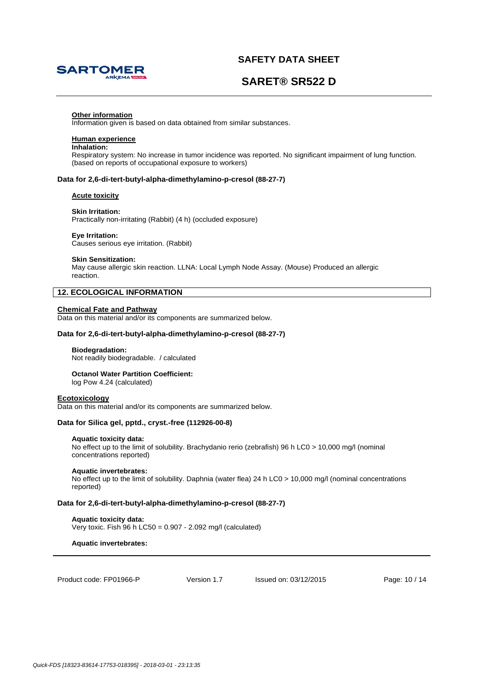

# **SARET® SR522 D**

#### **Other information**

Information given is based on data obtained from similar substances.

## **Human experience**

## **Inhalation:**

Respiratory system: No increase in tumor incidence was reported. No significant impairment of lung function. (based on reports of occupational exposure to workers)

### **Data for 2,6-di-tert-butyl-alpha-dimethylamino-p-cresol (88-27-7)**

## **Acute toxicity**

### **Skin Irritation:**

Practically non-irritating (Rabbit) (4 h) (occluded exposure)

#### **Eye Irritation:**

Causes serious eye irritation. (Rabbit)

#### **Skin Sensitization:**

May cause allergic skin reaction. LLNA: Local Lymph Node Assay. (Mouse) Produced an allergic reaction.

## **12. ECOLOGICAL INFORMATION**

### **Chemical Fate and Pathway**

Data on this material and/or its components are summarized below.

## **Data for 2,6-di-tert-butyl-alpha-dimethylamino-p-cresol (88-27-7)**

#### **Biodegradation:**

Not readily biodegradable. / calculated

### **Octanol Water Partition Coefficient:**

log Pow 4.24 (calculated)

#### **Ecotoxicology**

Data on this material and/or its components are summarized below.

#### **Data for Silica gel, pptd., cryst.-free (112926-00-8)**

#### **Aquatic toxicity data:**

No effect up to the limit of solubility. Brachydanio rerio (zebrafish) 96 h LC0 > 10,000 mg/l (nominal concentrations reported)

#### **Aquatic invertebrates:**

No effect up to the limit of solubility. Daphnia (water flea) 24 h LC0 > 10,000 mg/l (nominal concentrations reported)

### **Data for 2,6-di-tert-butyl-alpha-dimethylamino-p-cresol (88-27-7)**

## **Aquatic toxicity data:**

Very toxic. Fish 96 h LC50 = 0.907 - 2.092 mg/l (calculated)

**Aquatic invertebrates:** 

Product code: FP01966-P

Version 1.7 Issued on: 03/12/2015 Page: 10 / 14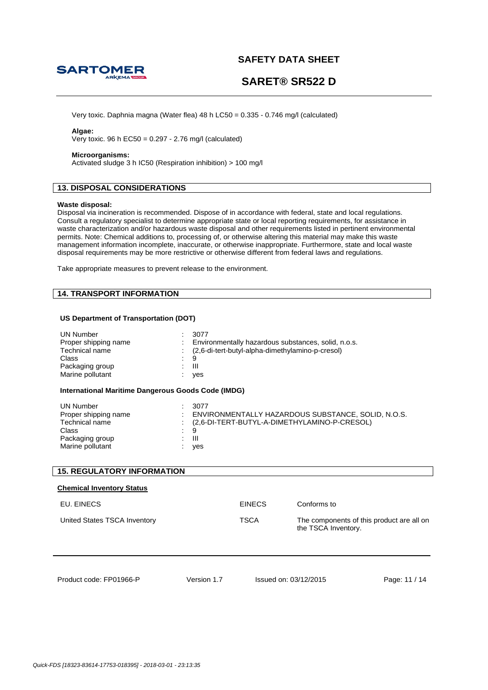

# **SARET® SR522 D**

Very toxic. Daphnia magna (Water flea) 48 h LC50 = 0.335 - 0.746 mg/l (calculated)

## **Algae:**

Very toxic. 96 h EC50 = 0.297 - 2.76 mg/l (calculated)

## **Microorganisms:**

Activated sludge 3 h IC50 (Respiration inhibition) > 100 mg/l

# **13. DISPOSAL CONSIDERATIONS**

#### **Waste disposal:**

Disposal via incineration is recommended. Dispose of in accordance with federal, state and local regulations. Consult a regulatory specialist to determine appropriate state or local reporting requirements, for assistance in waste characterization and/or hazardous waste disposal and other requirements listed in pertinent environmental permits. Note: Chemical additions to, processing of, or otherwise altering this material may make this waste management information incomplete, inaccurate, or otherwise inappropriate. Furthermore, state and local waste disposal requirements may be more restrictive or otherwise different from federal laws and regulations.

Take appropriate measures to prevent release to the environment.

## **14. TRANSPORT INFORMATION**

## **US Department of Transportation (DOT)**

| <b>UN Number</b><br>Proper shipping name<br>Technical name<br>Class<br>Packaging group<br>Marine pollutant<br>International Maritime Dangerous Goods Code (IMDG) | 3077<br>9<br>$\mathbf{III}$<br>yes | Environmentally hazardous substances, solid, n.o.s.<br>(2,6-di-tert-butyl-alpha-dimethylamino-p-cresol) |                       |                                           |
|------------------------------------------------------------------------------------------------------------------------------------------------------------------|------------------------------------|---------------------------------------------------------------------------------------------------------|-----------------------|-------------------------------------------|
| <b>UN Number</b><br>Proper shipping name<br>Technical name<br>Class<br>Packaging group<br>Marine pollutant                                                       | 3077<br>9<br>$\mathbf{III}$<br>yes | ENVIRONMENTALLY HAZARDOUS SUBSTANCE, SOLID, N.O.S.<br>(2,6-DI-TERT-BUTYL-A-DIMETHYLAMINO-P-CRESOL)      |                       |                                           |
| <b>15. REGULATORY INFORMATION</b>                                                                                                                                |                                    |                                                                                                         |                       |                                           |
| <b>Chemical Inventory Status</b>                                                                                                                                 |                                    |                                                                                                         |                       |                                           |
| EU. EINECS                                                                                                                                                       |                                    | <b>EINECS</b>                                                                                           | Conforms to           |                                           |
| United States TSCA Inventory                                                                                                                                     |                                    | <b>TSCA</b>                                                                                             | the TSCA Inventory.   | The components of this product are all on |
| Product code: FP01966-P                                                                                                                                          | Version 1.7                        |                                                                                                         | Issued on: 03/12/2015 | Page: 11 / 14                             |

Product code: FP01966-P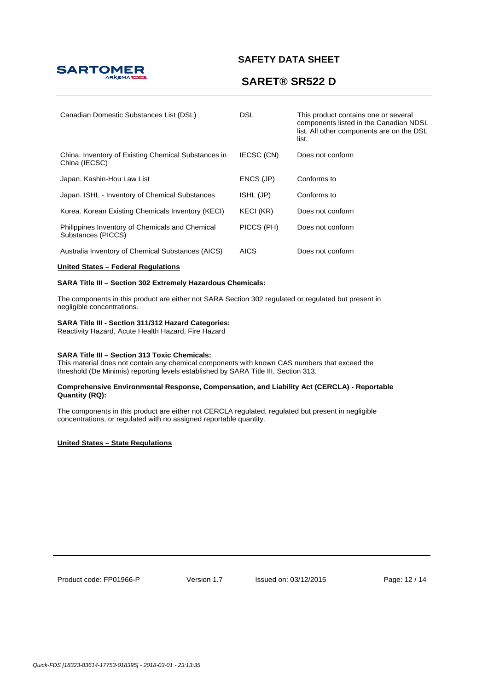

# **SARET® SR522 D**

| Canadian Domestic Substances List (DSL)                               | <b>DSL</b>       | This product contains one or several<br>components listed in the Canadian NDSL<br>list. All other components are on the DSL<br>list. |
|-----------------------------------------------------------------------|------------------|--------------------------------------------------------------------------------------------------------------------------------------|
| China. Inventory of Existing Chemical Substances in<br>China (IECSC)  | IECSC (CN)       | Does not conform                                                                                                                     |
| Japan. Kashin-Hou Law List                                            | ENCS (JP)        | Conforms to                                                                                                                          |
| Japan. ISHL - Inventory of Chemical Substances                        | ISHL (JP)        | Conforms to                                                                                                                          |
| Korea. Korean Existing Chemicals Inventory (KECI)                     | <b>KECI (KR)</b> | Does not conform                                                                                                                     |
| Philippines Inventory of Chemicals and Chemical<br>Substances (PICCS) | PICCS (PH)       | Does not conform                                                                                                                     |
| Australia Inventory of Chemical Substances (AICS)                     | <b>AICS</b>      | Does not conform                                                                                                                     |

## **United States – Federal Regulations**

## **SARA Title III – Section 302 Extremely Hazardous Chemicals:**

The components in this product are either not SARA Section 302 regulated or regulated but present in negligible concentrations.

## **SARA Title III - Section 311/312 Hazard Categories:**

Reactivity Hazard, Acute Health Hazard, Fire Hazard

## **SARA Title III – Section 313 Toxic Chemicals:**

This material does not contain any chemical components with known CAS numbers that exceed the threshold (De Minimis) reporting levels established by SARA Title III, Section 313.

### **Comprehensive Environmental Response, Compensation, and Liability Act (CERCLA) - Reportable Quantity (RQ):**

The components in this product are either not CERCLA regulated, regulated but present in negligible concentrations, or regulated with no assigned reportable quantity.

## **United States – State Regulations**

Product code: FP01966-P

Version 1.7 Issued on: 03/12/2015 Page: 12 / 14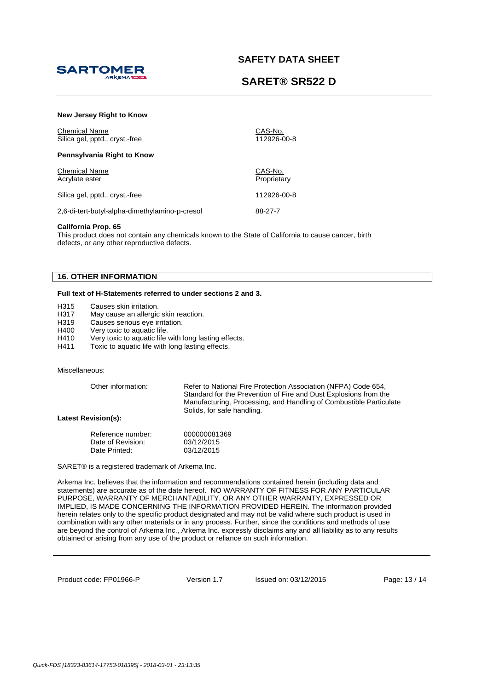



| New Jersey Right to Know                               |                        |
|--------------------------------------------------------|------------------------|
| <b>Chemical Name</b><br>Silica gel, pptd., cryst.-free | CAS-No.<br>112926-00-8 |
| Pennsylvania Right to Know                             |                        |
| <b>Chemical Name</b><br>Acrylate ester                 | CAS-No.<br>Proprietary |
| Silica gel, pptd., cryst.-free                         | 112926-00-8            |
| 2,6-di-tert-butyl-alpha-dimethylamino-p-cresol         | 88-27-7                |

## **California Prop. 65**

This product does not contain any chemicals known to the State of California to cause cancer, birth defects, or any other reproductive defects.

## **16. OTHER INFORMATION**

### **Full text of H-Statements referred to under sections 2 and 3.**

H315 Causes skin irritation.

H317 May cause an allergic skin reaction.

H319 Causes serious eye irritation.

H400 Very toxic to aquatic life.

H410 Very toxic to aquatic life with long lasting effects.

H411 Toxic to aquatic life with long lasting effects.

#### Miscellaneous:

Other information: Refer to National Fire Protection Association (NFPA) Code 654, Standard for the Prevention of Fire and Dust Explosions from the Manufacturing, Processing, and Handling of Combustible Particulate Solids, for safe handling.

**Latest Revision(s):** 

| Reference number: | 000000081369 |
|-------------------|--------------|
| Date of Revision: | 03/12/2015   |
| Date Printed:     | 03/12/2015   |

SARET® is a registered trademark of Arkema Inc.

Arkema Inc. believes that the information and recommendations contained herein (including data and statements) are accurate as of the date hereof. NO WARRANTY OF FITNESS FOR ANY PARTICULAR PURPOSE, WARRANTY OF MERCHANTABILITY, OR ANY OTHER WARRANTY, EXPRESSED OR IMPLIED, IS MADE CONCERNING THE INFORMATION PROVIDED HEREIN. The information provided herein relates only to the specific product designated and may not be valid where such product is used in combination with any other materials or in any process. Further, since the conditions and methods of use are beyond the control of Arkema Inc., Arkema Inc. expressly disclaims any and all liability as to any results obtained or arising from any use of the product or reliance on such information.

Product code: FP01966-P

Version 1.7 Issued on: 03/12/2015 Page: 13 / 14